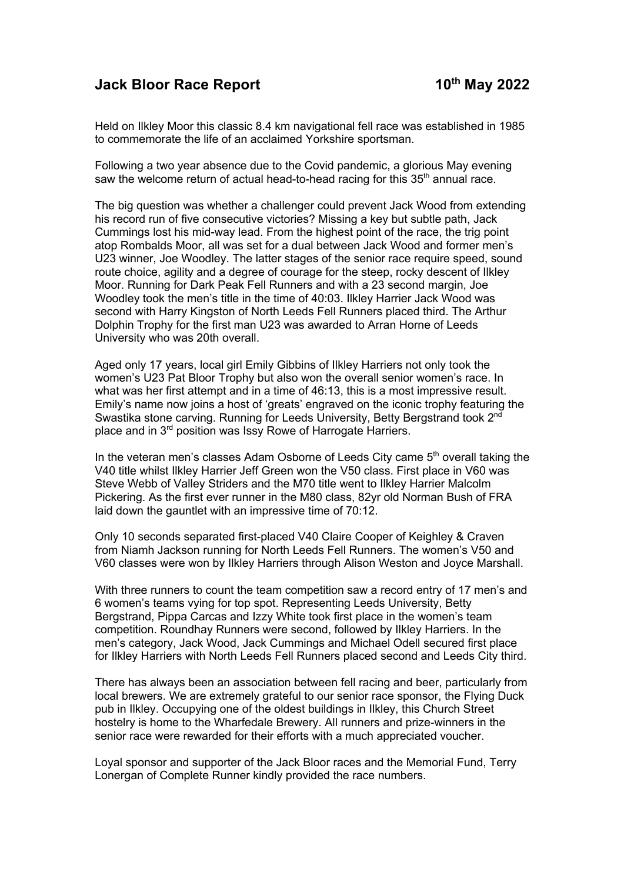## **Jack Bloor Race Report 10th** May 2022

Held on Ilkley Moor this classic 8.4 km navigational fell race was established in 1985 to commemorate the life of an acclaimed Yorkshire sportsman.

Following a two year absence due to the Covid pandemic, a glorious May evening saw the welcome return of actual head-to-head racing for this 35<sup>th</sup> annual race.

The big question was whether a challenger could prevent Jack Wood from extending his record run of five consecutive victories? Missing a key but subtle path, Jack Cummings lost his mid-way lead. From the highest point of the race, the trig point atop Rombalds Moor, all was set for a dual between Jack Wood and former men's U23 winner, Joe Woodley. The latter stages of the senior race require speed, sound route choice, agility and a degree of courage for the steep, rocky descent of Ilkley Moor. Running for Dark Peak Fell Runners and with a 23 second margin, Joe Woodley took the men's title in the time of 40:03. Ilkley Harrier Jack Wood was second with Harry Kingston of North Leeds Fell Runners placed third. The Arthur Dolphin Trophy for the first man U23 was awarded to Arran Horne of Leeds University who was 20th overall.

Aged only 17 years, local girl Emily Gibbins of Ilkley Harriers not only took the women's U23 Pat Bloor Trophy but also won the overall senior women's race. In what was her first attempt and in a time of 46:13, this is a most impressive result. Emily's name now joins a host of 'greats' engraved on the iconic trophy featuring the Swastika stone carving. Running for Leeds University, Betty Bergstrand took 2<sup>nd</sup> place and in 3rd position was Issy Rowe of Harrogate Harriers.

In the veteran men's classes Adam Osborne of Leeds City came  $5<sup>th</sup>$  overall taking the V40 title whilst Ilkley Harrier Jeff Green won the V50 class. First place in V60 was Steve Webb of Valley Striders and the M70 title went to Ilkley Harrier Malcolm Pickering. As the first ever runner in the M80 class, 82yr old Norman Bush of FRA laid down the gauntlet with an impressive time of 70:12.

Only 10 seconds separated first-placed V40 Claire Cooper of Keighley & Craven from Niamh Jackson running for North Leeds Fell Runners. The women's V50 and V60 classes were won by Ilkley Harriers through Alison Weston and Joyce Marshall.

With three runners to count the team competition saw a record entry of 17 men's and 6 women's teams vying for top spot. Representing Leeds University, Betty Bergstrand, Pippa Carcas and Izzy White took first place in the women's team competition. Roundhay Runners were second, followed by Ilkley Harriers. In the men's category, Jack Wood, Jack Cummings and Michael Odell secured first place for Ilkley Harriers with North Leeds Fell Runners placed second and Leeds City third.

There has always been an association between fell racing and beer, particularly from local brewers. We are extremely grateful to our senior race sponsor, the Flying Duck pub in Ilkley. Occupying one of the oldest buildings in Ilkley, this Church Street hostelry is home to the Wharfedale Brewery. All runners and prize-winners in the senior race were rewarded for their efforts with a much appreciated voucher.

Loyal sponsor and supporter of the Jack Bloor races and the Memorial Fund, Terry Lonergan of Complete Runner kindly provided the race numbers.